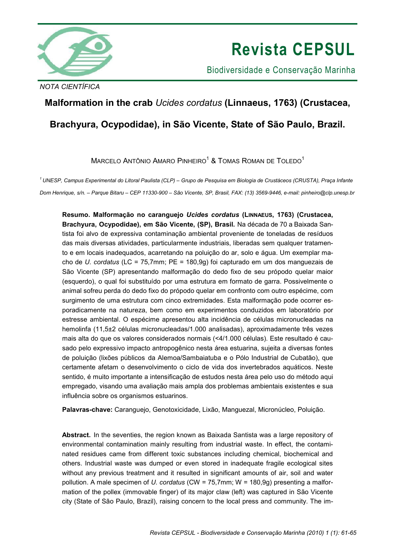

# **Revista CEPSUL**

Biodiversidade e Conservação Marinha

*NOTA CIENTÍFICA* 

## **Malformation in the crab** *Ucides cordatus* **(Linnaeus, 1763) (Crustacea,**

## **Brachyura, Ocypodidae), in São Vicente, State of São Paulo, Brazil.**

 $M$ ARCELO ANTÔNIO AMARO PINHEIRO $^\text{1}$  & TOMAS ROMAN DE TOLEDO $^\text{1}$ 

*<sup>1</sup>UNESP, Campus Experimental do Litoral Paulista (CLP) – Grupo de Pesquisa em Biologia de Crustáceos (CRUSTA), Praça Infante Dom Henrique, s/n. – Parque Bitaru – CEP 11330-900 – São Vicente, SP, Brasil, FAX: (13) 3569-9446, e-mail: pinheiro@clp.unesp.br* 

**Resumo. Malformação no caranguejo** *Ucides cordatus* **(LINNAEUS, 1763) (Crustacea, Brachyura, Ocypodidae), em São Vicente, (SP), Brasil.** Na década de 70 a Baixada Santista foi alvo de expressiva contaminação ambiental proveniente de toneladas de resíduos das mais diversas atividades, particularmente industriais, liberadas sem qualquer tratamento e em locais inadequados, acarretando na poluição do ar, solo e água. Um exemplar macho de *U. cordatus* (LC = 75,7mm; PE = 180,9g) foi capturado em um dos manguezais de São Vicente (SP) apresentando malformação do dedo fixo de seu própodo quelar maior (esquerdo), o qual foi substituído por uma estrutura em formato de garra. Possivelmente o animal sofreu perda do dedo fixo do própodo quelar em confronto com outro espécime, com surgimento de uma estrutura com cinco extremidades. Esta malformação pode ocorrer esporadicamente na natureza, bem como em experimentos conduzidos em laboratório por estresse ambiental. O espécime apresentou alta incidência de células micronucleadas na hemolinfa (11,5±2 células micronucleadas/1.000 analisadas), aproximadamente três vezes mais alta do que os valores considerados normais (<4/1.000 células). Este resultado é causado pelo expressivo impacto antropogênico nesta área estuarina, sujeita a diversas fontes de poluição (lixões públicos da Alemoa/Sambaiatuba e o Pólo Industrial de Cubatão), que certamente afetam o desenvolvimento o ciclo de vida dos invertebrados aquáticos. Neste sentido, é muito importante a intensificação de estudos nesta área pelo uso do método aqui empregado, visando uma avaliação mais ampla dos problemas ambientais existentes e sua influência sobre os organismos estuarinos.

**Palavras-chave:** Caranguejo, Genotoxicidade, Lixão, Manguezal, Micronúcleo, Poluição.

**Abstract.** In the seventies, the region known as Baixada Santista was a large repository of environmental contamination mainly resulting from industrial waste. In effect, the contaminated residues came from different toxic substances including chemical, biochemical and others. Industrial waste was dumped or even stored in inadequate fragile ecological sites without any previous treatment and it resulted in significant amounts of air, soil and water pollution. A male specimen of *U. cordatus* (CW = 75,7mm; W = 180,9g) presenting a malformation of the pollex (immovable finger) of its major claw (left) was captured in São Vicente city (State of São Paulo, Brazil), raising concern to the local press and community. The im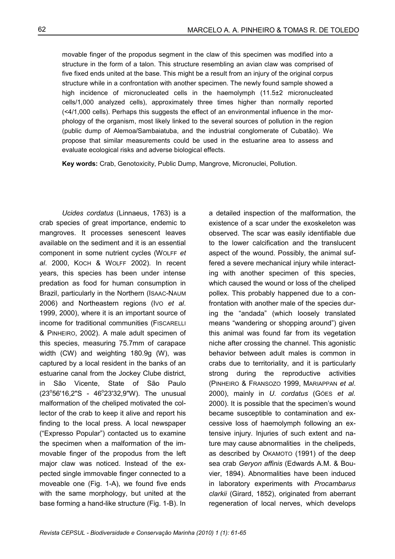movable finger of the propodus segment in the claw of this specimen was modified into a structure in the form of a talon. This structure resembling an avian claw was comprised of five fixed ends united at the base. This might be a result from an injury of the original corpus structure while in a confrontation with another specimen. The newly found sample showed a high incidence of micronucleated cells in the haemolymph (11.5±2 micronucleated cells/1,000 analyzed cells), approximately three times higher than normally reported (<4/1,000 cells). Perhaps this suggests the effect of an environmental influence in the morphology of the organism, most likely linked to the several sources of pollution in the region (public dump of Alemoa/Sambaiatuba, and the industrial conglomerate of Cubatão). We propose that similar measurements could be used in the estuarine area to assess and evaluate ecological risks and adverse biological effects.

**Key words:** Crab, Genotoxicity, Public Dump, Mangrove, Micronuclei, Pollution.

*Ucides cordatus* (Linnaeus, 1763) is a crab species of great importance, endemic to mangroves. It processes senescent leaves available on the sediment and it is an essential component in some nutrient cycles (WOLFF *et al*. 2000, KOCH & WOLFF 2002). In recent years, this species has been under intense predation as food for human consumption in Brazil, particularly in the Northern (ISAAC-NAUM 2006) and Northeastern regions (IVO *et al*. 1999, 2000), where it is an important source of income for traditional communities (FISCARELLI & PINHEIRO, 2002). A male adult specimen of this species, measuring 75.7mm of carapace width (CW) and weighting 180.9g (W), was captured by a local resident in the banks of an estuarine canal from the Jockey Clube district, in São Vicente, State of São Paulo (23°56'16,2"S - 46°23'32,9"W). The unusual malformation of the cheliped motivated the collector of the crab to keep it alive and report his finding to the local press. A local newspaper ("Expresso Popular") contacted us to examine the specimen when a malformation of the immovable finger of the propodus from the left major claw was noticed. Instead of the expected single immovable finger connected to a moveable one (Fig. 1-A), we found five ends with the same morphology, but united at the base forming a hand-like structure (Fig. 1-B). In

a detailed inspection of the malformation, the existence of a scar under the exoskeleton was observed. The scar was easily identifiable due to the lower calcification and the translucent aspect of the wound. Possibly, the animal suffered a severe mechanical injury while interacting with another specimen of this species, which caused the wound or loss of the cheliped pollex. This probably happened due to a confrontation with another male of the species during the "andada" (which loosely translated means "wandering or shopping around") given this animal was found far from its vegetation niche after crossing the channel. This agonistic behavior between adult males is common in crabs due to territoriality, and it is particularly strong during the reproductive activities (PINHEIRO & FRANSOZO 1999, MARIAPPAN *et al*. 2000), mainly in *U. cordatus* (GÓES *et al.* 2000). It is possible that the specimen's wound became susceptible to contamination and excessive loss of haemolymph following an extensive injury. Injuries of such extent and nature may cause abnormalities in the chelipeds, as described by OKAMOTO (1991) of the deep sea crab *Geryon affinis* (Edwards A.M. & Bouvier, 1894). Abnormalities have been induced in laboratory experiments with *Procambarus clarkii* (Girard, 1852), originated from aberrant regeneration of local nerves, which develops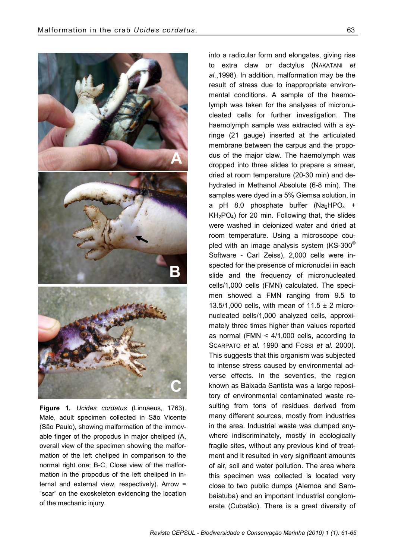

**Figure 1.** *Ucides cordatus* (Linnaeus, 1763). Male, adult specimen collected in São Vicente (São Paulo), showing malformation of the immovable finger of the propodus in major cheliped (A, overall view of the specimen showing the malformation of the left cheliped in comparison to the normal right one; B-C, Close view of the malformation in the propodus of the left cheliped in internal and external view, respectively). Arrow = "scar" on the exoskeleton evidencing the location of the mechanic injury.

into a radicular form and elongates, giving rise to extra claw or dactylus (NAKATANI *et al.*,1998). In addition, malformation may be the result of stress due to inappropriate environmental conditions. A sample of the haemolymph was taken for the analyses of micronucleated cells for further investigation. The haemolymph sample was extracted with a syringe (21 gauge) inserted at the articulated membrane between the carpus and the propodus of the major claw. The haemolymph was dropped into three slides to prepare a smear, dried at room temperature (20-30 min) and dehydrated in Methanol Absolute (6-8 min). The samples were dyed in a 5% Giemsa solution, in a pH 8.0 phosphate buffer  $(Na_2HPO_4 +$  $KH<sub>2</sub>PO<sub>4</sub>$ ) for 20 min. Following that, the slides were washed in deionized water and dried at room temperature. Using a microscope coupled with an image analysis system (KS-300® Software - Carl Zeiss), 2,000 cells were inspected for the presence of micronuclei in each slide and the frequency of micronucleated cells/1,000 cells (FMN) calculated. The specimen showed a FMN ranging from 9.5 to 13.5/1,000 cells, with mean of 11.5  $\pm$  2 micronucleated cells/1,000 analyzed cells, approximately three times higher than values reported as normal (FMN < 4/1,000 cells, according to SCARPATO *et al.* 1990 and FOSSI *et al.* 2000). This suggests that this organism was subjected to intense stress caused by environmental adverse effects. In the seventies, the region known as Baixada Santista was a large repository of environmental contaminated waste resulting from tons of residues derived from many different sources, mostly from industries in the area. Industrial waste was dumped anywhere indiscriminately, mostly in ecologically fragile sites, without any previous kind of treatment and it resulted in very significant amounts of air, soil and water pollution. The area where this specimen was collected is located very close to two public dumps (Alemoa and Sambaiatuba) and an important Industrial conglomerate (Cubatão). There is a great diversity of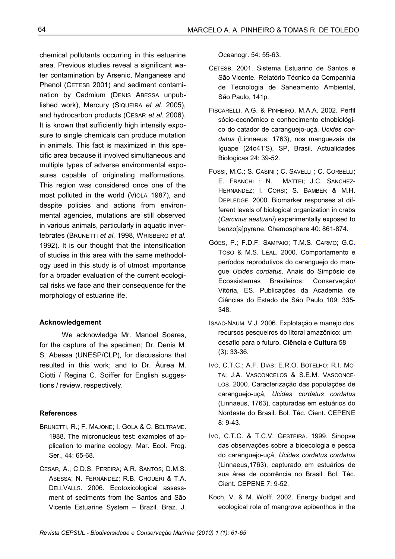chemical pollutants occurring in this estuarine area. Previous studies reveal a significant water contamination by Arsenic, Manganese and Phenol (CETESB 2001) and sediment contamination by Cadmium (DENIS ABESSA unpublished work), Mercury (SIQUEIRA *et al.* 2005), and hydrocarbon products (CESAR *et al.* 2006). It is known that sufficiently high intensity exposure to single chemicals can produce mutation in animals. This fact is maximized in this specific area because it involved simultaneous and multiple types of adverse environmental exposures capable of originating malformations. This region was considered once one of the most polluted in the world (VIOLA 1987), and despite policies and actions from environmental agencies, mutations are still observed in various animals, particularly in aquatic invertebrates (BRUNETTI *et al.* 1998, WRISBERG *et al.* 1992). It is our thought that the intensification of studies in this area with the same methodology used in this study is of utmost importance for a broader evaluation of the current ecological risks we face and their consequence for the morphology of estuarine life.

#### **Acknowledgement**

We acknowledge Mr. Manoel Soares, for the capture of the specimen; Dr. Denis M. S. Abessa (UNESP/CLP), for discussions that resulted in this work; and to Dr. Áurea M. Ciotti / Regina C. Soiffer for English suggestions / review, respectively.

### **References**

- BRUNETTI, R.; F. MAJONE; I. GOLA & C. BELTRAME. 1988. The micronucleus test: examples of application to marine ecology. Mar. Ecol. Prog. Ser., 44: 65-68.
- CESAR, A.; C.D.S. PEREIRA; A.R. SANTOS; D.M.S. ABESSA; N. FERNÁNDEZ; R.B. CHOUERI & T.A. DELLVALLS. 2006. Ecotoxicological assessment of sediments from the Santos and São Vicente Estuarine System – Brazil. Braz. J.

Oceanogr. 54: 55-63.

- CETESB. 2001. Sistema Estuarino de Santos e São Vicente. Relatório Técnico da Companhia de Tecnologia de Saneamento Ambiental, São Paulo, 141p.
- FISCARELLI, A.G. & PINHEIRO, M.A.A. 2002. Perfil sócio-econômico e conhecimento etnobiológico do catador de caranguejo-uçá, *Ucides cordatus* (Linnaeus, 1763), nos manguezais de Iguape (24o41'S), SP, Brasil. Actualidades Biologicas 24: 39-52.
- FOSSI, M.C.; S. CASINI ; C. SAVELLI ; C. CORBELLI; E. FRANCHI ; N. MATTEI; J.C. SANCHEZ-HERNANDEZ; I. CORSI; S. BAMBER & M.H. DEPLEDGE. 2000. Biomarker responses at different levels of biological organization in crabs (*Carcinus aestuarii*) experimentally exposed to benzo[a]pyrene. Chemosphere 40: 861-874.
- GÓES, P.; F.D.F. SAMPAIO; T.M.S. CARMO; G.C. TÔSO & M.S. LEAL. 2000. Comportamento e períodos reprodutivos do caranguejo do mangue *Ucides cordatus*. Anais do Simpósio de Ecossistemas Brasileiros: Conservação/ Vitória, ES. Publicações da Academia de Ciências do Estado de São Paulo 109: 335- 348.
- ISAAC-NAUM, V.J. 2006. Explotação e manejo dos recursos pesqueiros do litoral amazônico: um desafio para o futuro. **Ciência e Cultura** 58 (3): 33-36.
- IVO, C.T.C.; A.F. DIAS; E.R.O. BOTELHO; R.I. MO-TA; J.A. VASCONCELOS & S.E.M. VASCONCE-LOS. 2000. Caracterização das populações de caranguejo-uçá, *Ucides cordatus cordatus* (Linnaeus, 1763), capturadas em estuários do Nordeste do Brasil. Bol. Téc. Cient. CEPENE 8: 9-43.
- IVO, C.T.C. & T.C.V. GESTEIRA. 1999. Sinopse das observações sobre a bioecologia e pesca do caranguejo-uçá, *Ucides cordatus cordatus*  (Linnaeus,1763), capturado em estuários de sua área de ocorrência no Brasil. Bol. Téc. Cient. CEPENE 7: 9-52.
- Koch, V. & M. Wolff. 2002. Energy budget and ecological role of mangrove epibenthos in the